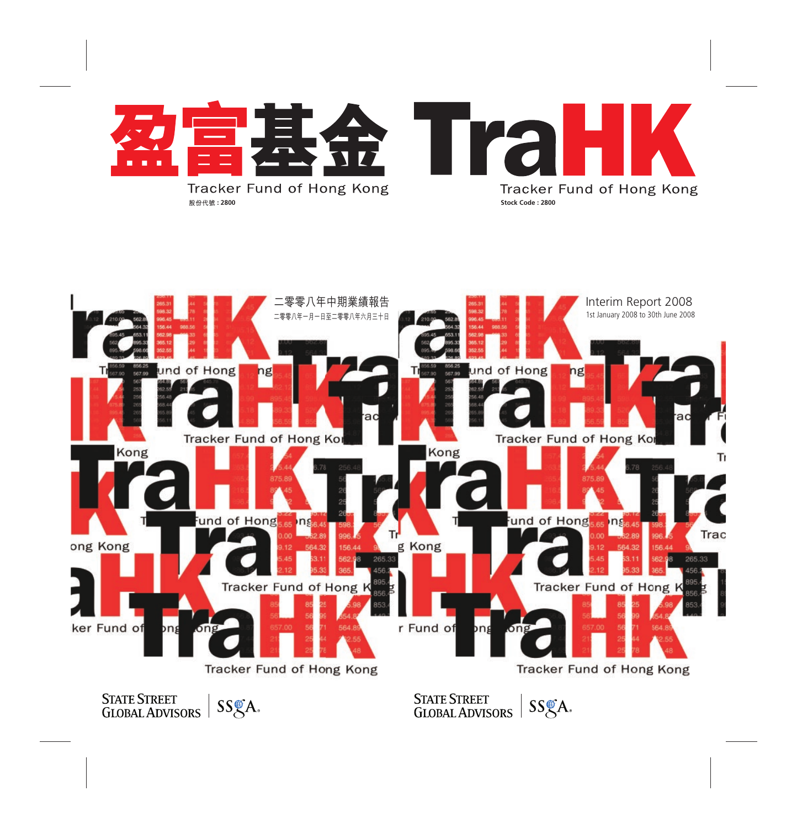



**STATE STREET** STATE STREET<br>GLOBAL ADVISORS SS&A.

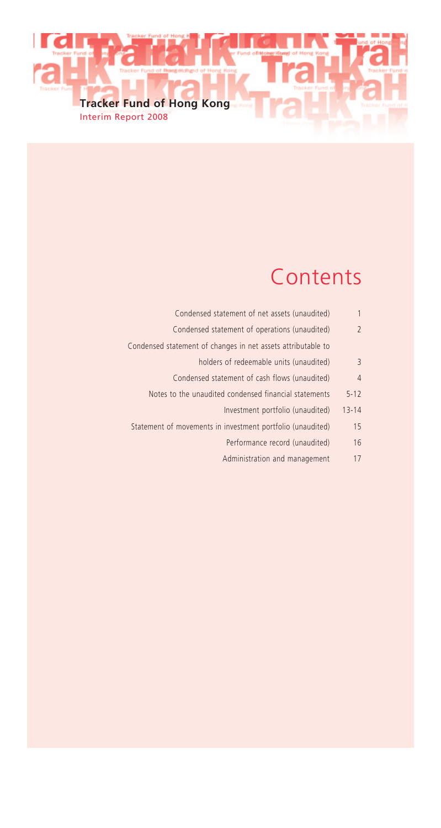

# Contents

| 1              | Condensed statement of net assets (unaudited)                |
|----------------|--------------------------------------------------------------|
| $\overline{2}$ | Condensed statement of operations (unaudited)                |
|                | Condensed statement of changes in net assets attributable to |
| 3              | holders of redeemable units (unaudited)                      |
| $\overline{4}$ | Condensed statement of cash flows (unaudited)                |
| $5 - 12$       | Notes to the unaudited condensed financial statements        |
| $13 - 14$      | Investment portfolio (unaudited)                             |
| 15             | Statement of movements in investment portfolio (unaudited)   |
| 16             | Performance record (unaudited)                               |
| 17             | Administration and management                                |
|                |                                                              |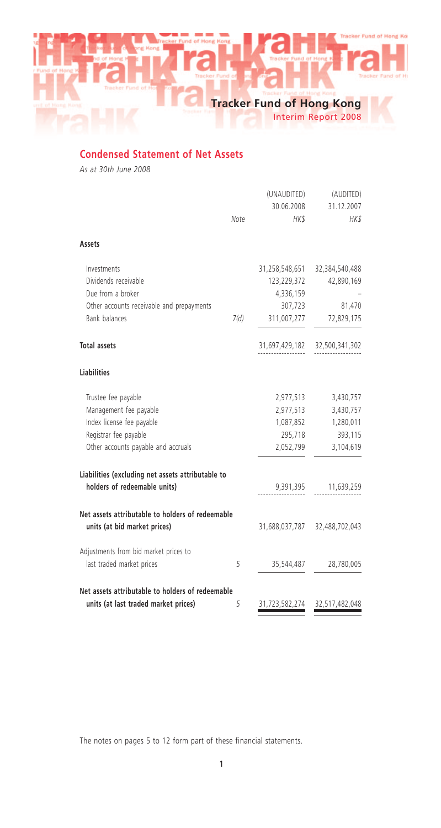Interim Report 2008

# **Condensed Statement of Net Assets**

*As at 30th June 2008*

|                                                                                  |      | (UNAUDITED)<br>30.06.2008 | (AUDITED)<br>31.12.2007 |
|----------------------------------------------------------------------------------|------|---------------------------|-------------------------|
|                                                                                  | Note | HK\$                      | HK\$                    |
| Assets                                                                           |      |                           |                         |
| Investments                                                                      |      | 31,258,548,651            | 32,384,540,488          |
| Dividends receivable                                                             |      | 123,229,372               | 42,890,169              |
| Due from a broker                                                                |      | 4,336,159                 |                         |
| Other accounts receivable and prepayments                                        |      | 307,723                   | 81,470                  |
| Bank balances                                                                    | 7(d) | 311,007,277               | 72,829,175              |
| <b>Total assets</b>                                                              |      | 31,697,429,182            | 32,500,341,302          |
| <b>Liabilities</b>                                                               |      |                           |                         |
| Trustee fee payable                                                              |      | 2,977,513                 | 3,430,757               |
| Management fee payable                                                           |      | 2,977,513                 | 3,430,757               |
| Index license fee payable                                                        |      | 1,087,852                 | 1,280,011               |
| Registrar fee payable                                                            |      | 295,718                   | 393,115                 |
| Other accounts payable and accruals                                              |      | 2,052,799                 | 3,104,619               |
| Liabilities (excluding net assets attributable to                                |      |                           |                         |
| holders of redeemable units)                                                     |      | 9,391,395                 | 11,639,259              |
| Net assets attributable to holders of redeemable<br>units (at bid market prices) |      | 31,688,037,787            | 32,488,702,043          |
| Adjustments from bid market prices to                                            |      |                           |                         |
| last traded market prices                                                        | 5    | 35,544,487                | 28,780,005              |
| Net assets attributable to holders of redeemable                                 |      |                           |                         |
| units (at last traded market prices)                                             | 5    | 31,723,582,274            | 32,517,482,048          |

The notes on pages 5 to 12 form part of these financial statements.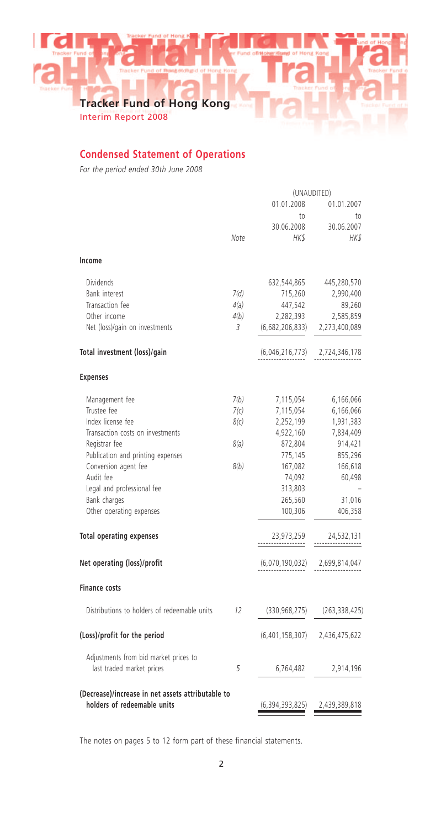Interim Report 2008

# **Condensed Statement of Operations**

*For the period ended 30th June 2008*

|                                                   | (UNAUDITED) |                    |                 |
|---------------------------------------------------|-------------|--------------------|-----------------|
|                                                   |             | 01.01.2008         | 01.01.2007      |
|                                                   |             | to                 | to              |
|                                                   |             | 30.06.2008         | 30.06.2007      |
|                                                   | Note        | HKS                | HK\$            |
| Income                                            |             |                    |                 |
| <b>Dividends</b>                                  |             | 632,544,865        | 445,280,570     |
| Bank interest                                     | 7(d)        | 715,260            | 2,990,400       |
| Transaction fee                                   | 4(a)        | 447,542            | 89,260          |
| Other income                                      | 4(b)        | 2,282,393          | 2,585,859       |
| Net (loss)/gain on investments                    | 3           | (6,682,206,833)    | 2,273,400,089   |
| Total investment (loss)/gain                      |             | (6,046,216,773)    | 2,724,346,178   |
| <b>Expenses</b>                                   |             |                    |                 |
| Management fee                                    | 7(b)        | 7,115,054          | 6,166,066       |
| Trustee fee                                       | 7(c)        | 7,115,054          | 6,166,066       |
| Index license fee                                 | 8(c)        | 2,252,199          | 1,931,383       |
| Transaction costs on investments                  |             | 4,922,160          | 7,834,409       |
| Registrar fee                                     | 8(a)        | 872,804            | 914,421         |
| Publication and printing expenses                 |             | 775,145            | 855,296         |
| Conversion agent fee                              | 8(b)        | 167,082            | 166,618         |
| Audit fee                                         |             | 74,092             | 60,498          |
| Legal and professional fee                        |             | 313,803            |                 |
| Bank charges                                      |             | 265,560            | 31,016          |
| Other operating expenses                          |             | 100,306            | 406,358         |
| <b>Total operating expenses</b>                   |             | 23,973,259         | 24,532,131      |
| Net operating (loss)/profit                       |             | (6,070,190,032)    | 2,699,814,047   |
| <b>Finance costs</b>                              |             |                    |                 |
| Distributions to holders of redeemable units      | 12          | (330, 968, 275)    | (263, 338, 425) |
| (Loss)/profit for the period                      |             | (6,401,158,307)    | 2,436,475,622   |
| Adjustments from bid market prices to             |             |                    |                 |
| last traded market prices                         | 5           | 6,764,482          | 2,914,196       |
| (Decrease)/increase in net assets attributable to |             |                    |                 |
| holders of redeemable units                       |             | (6, 394, 393, 825) | 2,439,389,818   |

The notes on pages 5 to 12 form part of these financial statements.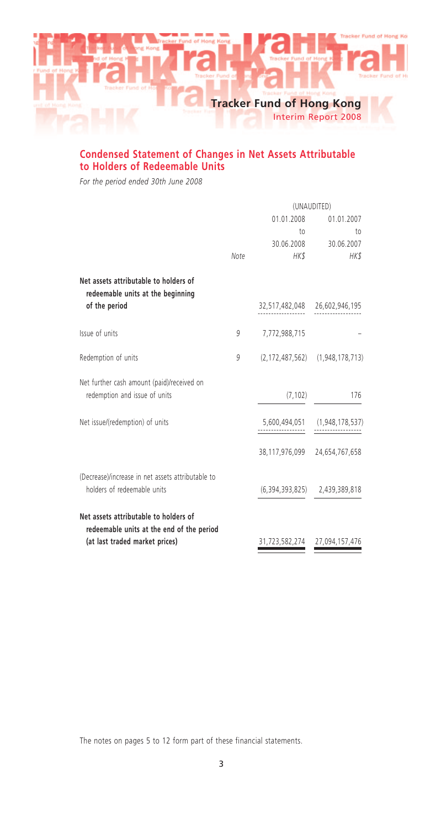

# **Condensed Statement of Changes in Net Assets Attributable to Holders of Redeemable Units**

*For the period ended 30th June 2008*

|                                                                                                                      | (UNAUDITED) |                               |                                           |
|----------------------------------------------------------------------------------------------------------------------|-------------|-------------------------------|-------------------------------------------|
|                                                                                                                      | 01.01.2008  |                               | 01.01.2007                                |
|                                                                                                                      |             | $10 -$                        | to                                        |
|                                                                                                                      |             | 30.06.2008                    | 30.06.2007                                |
|                                                                                                                      | Note        | HK\$                          | HK\$                                      |
| Net assets attributable to holders of<br>redeemable units at the beginning                                           |             |                               |                                           |
| of the period                                                                                                        |             | 32,517,482,048 26,602,946,195 |                                           |
| Issue of units                                                                                                       | 9           | 7,772,988,715                 |                                           |
| Redemption of units                                                                                                  | 9           |                               | $(2, 172, 487, 562)$ $(1, 948, 178, 713)$ |
| Net further cash amount (paid)/received on<br>redemption and issue of units                                          |             | (7, 102)                      | 176                                       |
| Net issue/(redemption) of units                                                                                      |             |                               | 5,600,494,051 (1,948,178,537)             |
|                                                                                                                      |             | 38,117,976,099 24,654,767,658 |                                           |
| (Decrease)/increase in net assets attributable to<br>holders of redeemable units                                     |             |                               | $(6, 394, 393, 825)$ 2,439,389,818        |
| Net assets attributable to holders of<br>redeemable units at the end of the period<br>(at last traded market prices) |             | 31,723,582,274 27,094,157,476 |                                           |

The notes on pages 5 to 12 form part of these financial statements.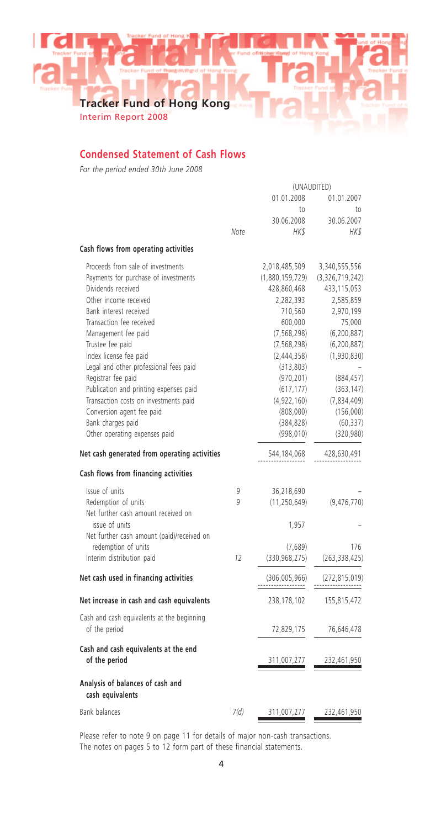Interim Report 2008

# **Condensed Statement of Cash Flows**

*For the period ended 30th June 2008*

|                                                      | (UNAUDITED) |                 |                 |
|------------------------------------------------------|-------------|-----------------|-----------------|
|                                                      |             | 01.01.2008      | 01.01.2007      |
|                                                      |             | to              | to.             |
|                                                      |             | 30.06.2008      | 30.06.2007      |
|                                                      | Note        | HK\$            | HK\$            |
| Cash flows from operating activities                 |             |                 |                 |
| Proceeds from sale of investments                    |             | 2,018,485,509   | 3,340,555,556   |
| Payments for purchase of investments                 |             | (1,880,159,729) | (3,326,719,242) |
| Dividends received                                   |             | 428,860,468     | 433, 115, 053   |
| Other income received                                |             | 2,282,393       | 2,585,859       |
| Bank interest received                               |             | 710,560         | 2,970,199       |
| Transaction fee received                             |             | 600,000         | 75,000          |
| Management fee paid                                  |             | (7, 568, 298)   | (6, 200, 887)   |
| Trustee fee paid                                     |             | (7, 568, 298)   | (6, 200, 887)   |
| Index license fee paid                               |             | (2,444,358)     | (1,930,830)     |
| Legal and other professional fees paid               |             | (313,803)       |                 |
| Registrar fee paid                                   |             | (970, 201)      | (884, 457)      |
| Publication and printing expenses paid               |             | (617, 177)      | (363, 147)      |
| Transaction costs on investments paid                |             | (4,922,160)     | (7,834,409)     |
| Conversion agent fee paid                            |             | (808,000)       | (156,000)       |
| Bank charges paid                                    |             | (384, 828)      | (60, 337)       |
| Other operating expenses paid                        |             | (998, 010)      | (320, 980)      |
|                                                      |             |                 |                 |
| Net cash generated from operating activities         |             | 544,184,068     | 428,630,491     |
| Cash flows from financing activities                 |             |                 |                 |
| Issue of units                                       | 9           | 36,218,690      |                 |
| Redemption of units                                  | g           | (11, 250, 649)  | (9,476,770)     |
| Net further cash amount received on                  |             |                 |                 |
| issue of units                                       |             | 1,957           |                 |
| Net further cash amount (paid)/received on           |             |                 |                 |
| redemption of units                                  |             | (7,689)         | 176             |
| Interim distribution paid                            | 12          | (330, 968, 275) | (263, 338, 425) |
| Net cash used in financing activities                |             | (306,005,966)   | (272, 815, 019) |
| Net increase in cash and cash equivalents            |             | 238,178,102     | 155,815,472     |
| Cash and cash equivalents at the beginning           |             |                 |                 |
| of the period                                        |             | 72,829,175      | 76,646,478      |
|                                                      |             |                 |                 |
| Cash and cash equivalents at the end                 |             |                 |                 |
| of the period                                        |             | 311,007,277     | 232,461,950     |
| Analysis of balances of cash and<br>cash equivalents |             |                 |                 |
| <b>Bank balances</b>                                 | 7(d)        | 311,007,277     | 232,461,950     |
|                                                      |             |                 |                 |

Please refer to note 9 on page 11 for details of major non-cash transactions. The notes on pages 5 to 12 form part of these financial statements.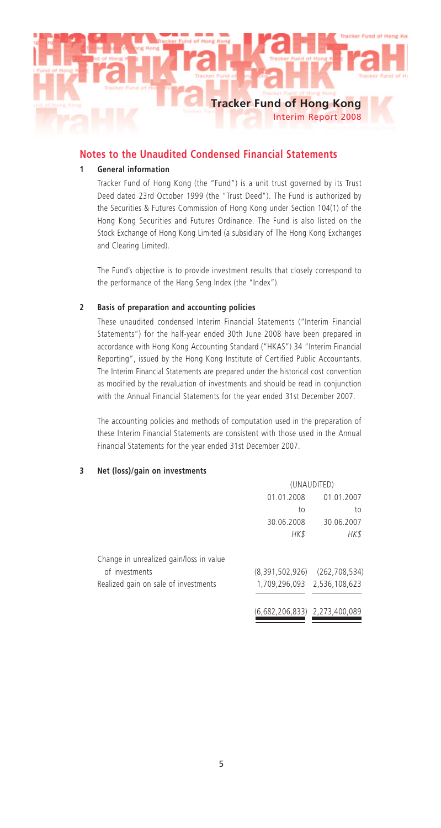# **Tracker Fund of Hong Kong** Interim Report 2008

# **Notes to the Unaudited Condensed Financial Statements**

# **1 General information**

Tracker Fund of Hong Kong (the "Fund") is a unit trust governed by its Trust Deed dated 23rd October 1999 (the "Trust Deed"). The Fund is authorized by the Securities & Futures Commission of Hong Kong under Section 104(1) of the Hong Kong Securities and Futures Ordinance. The Fund is also listed on the Stock Exchange of Hong Kong Limited (a subsidiary of The Hong Kong Exchanges and Clearing Limited).

The Fund's objective is to provide investment results that closely correspond to the performance of the Hang Seng Index (the "Index").

#### **2 Basis of preparation and accounting policies**

These unaudited condensed Interim Financial Statements ("Interim Financial Statements") for the half-year ended 30th June 2008 have been prepared in accordance with Hong Kong Accounting Standard ("HKAS") 34 "Interim Financial Reporting", issued by the Hong Kong Institute of Certified Public Accountants. The Interim Financial Statements are prepared under the historical cost convention as modified by the revaluation of investments and should be read in conjunction with the Annual Financial Statements for the year ended 31st December 2007.

The accounting policies and methods of computation used in the preparation of these Interim Financial Statements are consistent with those used in the Annual Financial Statements for the year ended 31st December 2007.

#### **3 Net (loss)/gain on investments**

|                                         | (UNAUDITED)                   |                             |  |
|-----------------------------------------|-------------------------------|-----------------------------|--|
|                                         | 01.01.2008                    | 01.01.2007                  |  |
|                                         | to                            | to                          |  |
|                                         | 30.06.2008                    | 30.06.2007                  |  |
|                                         | HK\$                          | HK\$                        |  |
| Change in unrealized gain/loss in value |                               |                             |  |
| of investments                          | (8,391,502,926)               | (262, 708, 534)             |  |
| Realized gain on sale of investments    |                               | 1,709,296,093 2,536,108,623 |  |
|                                         | (6,682,206,833) 2,273,400,089 |                             |  |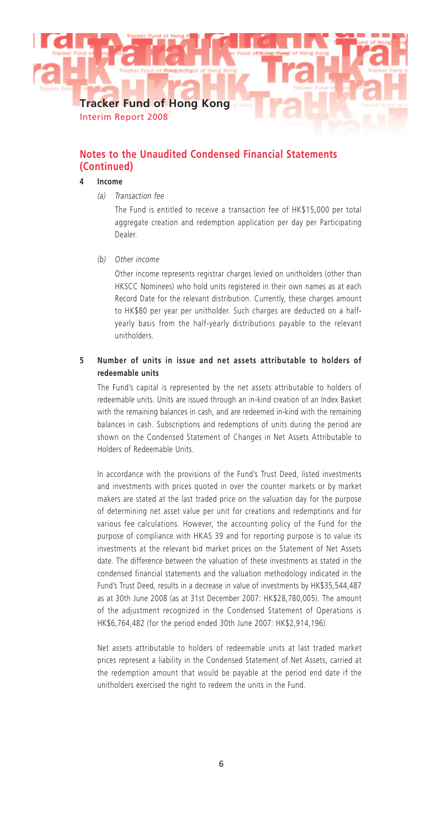Interim Report 2008

# **Notes to the Unaudited Condensed Financial Statements (Continued)**

# **4 Income**

*(a) Transaction fee*

The Fund is entitled to receive a transaction fee of HK\$15,000 per total aggregate creation and redemption application per day per Participating Dealer.

*(b) Other income*

Other income represents registrar charges levied on unitholders (other than HKSCC Nominees) who hold units registered in their own names as at each Record Date for the relevant distribution. Currently, these charges amount to HK\$80 per year per unitholder. Such charges are deducted on a halfyearly basis from the half-yearly distributions payable to the relevant unitholders.

# **5 Number of units in issue and net assets attributable to holders of redeemable units**

The Fund's capital is represented by the net assets attributable to holders of redeemable units. Units are issued through an in-kind creation of an Index Basket with the remaining balances in cash, and are redeemed in-kind with the remaining balances in cash. Subscriptions and redemptions of units during the period are shown on the Condensed Statement of Changes in Net Assets Attributable to Holders of Redeemable Units.

In accordance with the provisions of the Fund's Trust Deed, listed investments and investments with prices quoted in over the counter markets or by market makers are stated at the last traded price on the valuation day for the purpose of determining net asset value per unit for creations and redemptions and for various fee calculations. However, the accounting policy of the Fund for the purpose of compliance with HKAS 39 and for reporting purpose is to value its investments at the relevant bid market prices on the Statement of Net Assets date. The difference between the valuation of these investments as stated in the condensed financial statements and the valuation methodology indicated in the Fund's Trust Deed, results in a decrease in value of investments by HK\$35,544,487 as at 30th June 2008 (as at 31st December 2007: HK\$28,780,005). The amount of the adjustment recognized in the Condensed Statement of Operations is HK\$6,764,482 (for the period ended 30th June 2007: HK\$2,914,196).

Net assets attributable to holders of redeemable units at last traded market prices represent a liability in the Condensed Statement of Net Assets, carried at the redemption amount that would be payable at the period end date if the unitholders exercised the right to redeem the units in the Fund.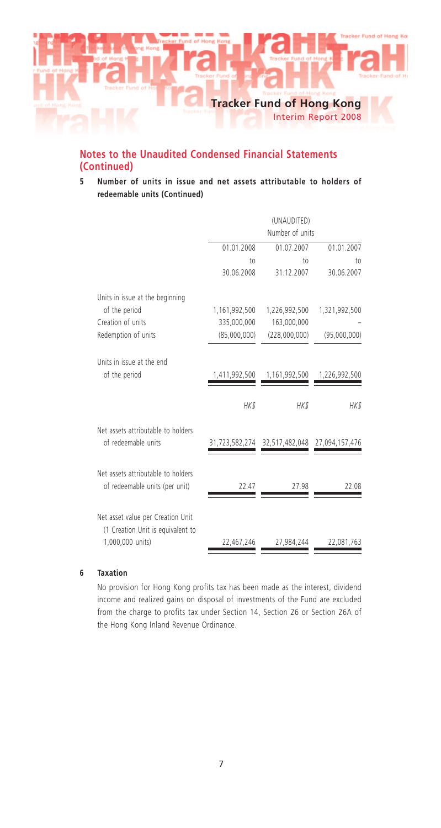

#### Interim Report 2008

# **Notes to the Unaudited Condensed Financial Statements (Continued)**

**5 Number of units in issue and net assets attributable to holders of redeemable units (Continued)**

|                                                                      | (UNAUDITED)<br>Number of units |                                              |               |  |
|----------------------------------------------------------------------|--------------------------------|----------------------------------------------|---------------|--|
|                                                                      | 01.01.2008                     | 01.07.2007                                   | 01.01.2007    |  |
|                                                                      | to                             | to                                           | to            |  |
|                                                                      | 30.06.2008                     | 31.12.2007                                   | 30.06.2007    |  |
| Units in issue at the beginning                                      |                                |                                              |               |  |
| of the period                                                        | 1,161,992,500                  | 1,226,992,500                                | 1,321,992,500 |  |
| Creation of units                                                    | 335,000,000                    | 163,000,000                                  |               |  |
| Redemption of units                                                  | (85,000,000)                   | (228,000,000)                                | (95,000,000)  |  |
| Units in issue at the end                                            |                                |                                              |               |  |
| of the period                                                        | 1,411,992,500                  | 1,161,992,500                                | 1,226,992,500 |  |
|                                                                      | HK\$                           | HK\$                                         | HK\$          |  |
| Net assets attributable to holders                                   |                                |                                              |               |  |
| of redeemable units                                                  |                                | 31,723,582,274 32,517,482,048 27,094,157,476 |               |  |
| Net assets attributable to holders<br>of redeemable units (per unit) | 22.47                          | 27.98                                        | 22.08         |  |
| Net asset value per Creation Unit                                    |                                |                                              |               |  |
| (1 Creation Unit is equivalent to<br>1,000,000 units)                | 22,467,246                     | 27,984,244                                   | 22,081,763    |  |

#### **6 Taxation**

No provision for Hong Kong profits tax has been made as the interest, dividend income and realized gains on disposal of investments of the Fund are excluded from the charge to profits tax under Section 14, Section 26 or Section 26A of the Hong Kong Inland Revenue Ordinance.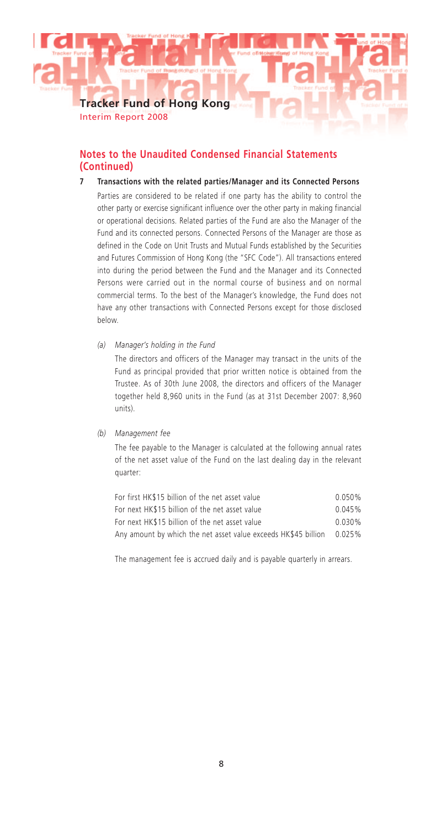Interim Report 2008

# **Notes to the Unaudited Condensed Financial Statements (Continued)**

- **7 Transactions with the related parties/Manager and its Connected Persons** Parties are considered to be related if one party has the ability to control the other party or exercise significant influence over the other party in making financial or operational decisions. Related parties of the Fund are also the Manager of the Fund and its connected persons. Connected Persons of the Manager are those as defined in the Code on Unit Trusts and Mutual Funds established by the Securities and Futures Commission of Hong Kong (the "SFC Code"). All transactions entered into during the period between the Fund and the Manager and its Connected Persons were carried out in the normal course of business and on normal commercial terms. To the best of the Manager's knowledge, the Fund does not have any other transactions with Connected Persons except for those disclosed below.
	- *(a) Manager's holding in the Fund*

The directors and officers of the Manager may transact in the units of the Fund as principal provided that prior written notice is obtained from the Trustee. As of 30th June 2008, the directors and officers of the Manager together held 8,960 units in the Fund (as at 31st December 2007: 8,960 units).

#### *(b) Management fee*

The fee payable to the Manager is calculated at the following annual rates of the net asset value of the Fund on the last dealing day in the relevant quarter:

| For first HK\$15 billion of the net asset value                | $0.050\%$ |
|----------------------------------------------------------------|-----------|
| For next HK\$15 billion of the net asset value                 | 0.045%    |
| For next HK\$15 billion of the net asset value                 | $0.030\%$ |
| Any amount by which the net asset value exceeds HK\$45 billion | $0.025\%$ |

The management fee is accrued daily and is payable quarterly in arrears.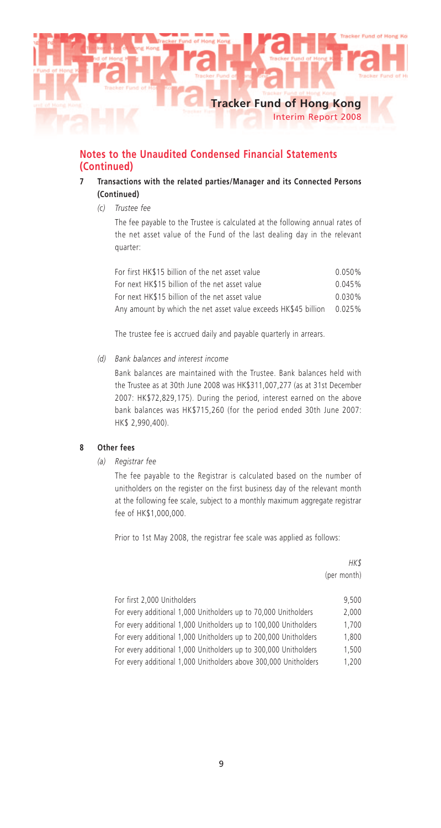

# **Notes to the Unaudited Condensed Financial Statements (Continued)**

# **7 Transactions with the related parties/Manager and its Connected Persons (Continued)**

*(c) Trustee fee*

The fee payable to the Trustee is calculated at the following annual rates of the net asset value of the Fund of the last dealing day in the relevant quarter:

| For first HK\$15 billion of the net asset value                | 0.050%    |
|----------------------------------------------------------------|-----------|
| For next HK\$15 billion of the net asset value                 | 0.045%    |
| For next HK\$15 billion of the net asset value                 | 0.030%    |
| Any amount by which the net asset value exceeds HK\$45 billion | $0.025\%$ |

The trustee fee is accrued daily and payable quarterly in arrears.

# *(d) Bank balances and interest income*

Bank balances are maintained with the Trustee. Bank balances held with the Trustee as at 30th June 2008 was HK\$311,007,277 (as at 31st December 2007: HK\$72,829,175). During the period, interest earned on the above bank balances was HK\$715,260 (for the period ended 30th June 2007: HK\$ 2,990,400).

#### **8 Other fees**

*(a) Registrar fee*

The fee payable to the Registrar is calculated based on the number of unitholders on the register on the first business day of the relevant month at the following fee scale, subject to a monthly maximum aggregate registrar fee of HK\$1,000,000.

Prior to 1st May 2008, the registrar fee scale was applied as follows:

|                                                                  | HK \$       |
|------------------------------------------------------------------|-------------|
|                                                                  | (per month) |
|                                                                  |             |
| For first 2,000 Unitholders                                      | 9.500       |
| For every additional 1,000 Unitholders up to 70,000 Unitholders  | 2.000       |
| For every additional 1,000 Unitholders up to 100,000 Unitholders | 1.700       |
| For every additional 1,000 Unitholders up to 200,000 Unitholders | 1.800       |
| For every additional 1,000 Unitholders up to 300,000 Unitholders | 1.500       |
| For every additional 1,000 Unitholders above 300,000 Unitholders | 1.200       |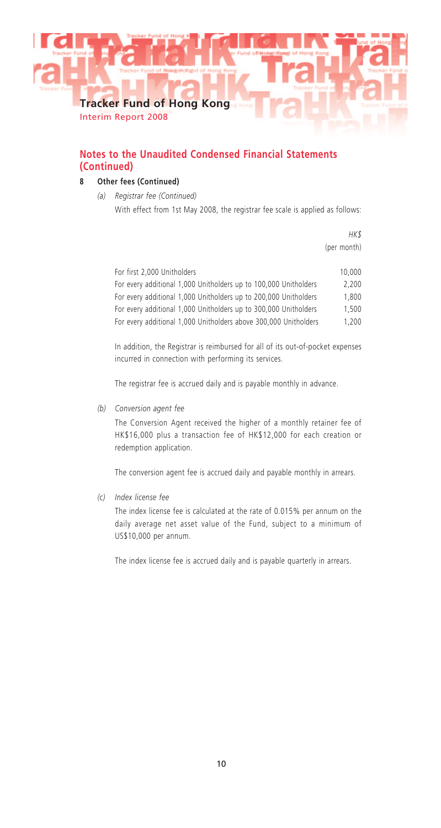

Interim Report 2008

# **Notes to the Unaudited Condensed Financial Statements (Continued)**

# **8 Other fees (Continued)**

*(a) Registrar fee (Continued)*

With effect from 1st May 2008, the registrar fee scale is applied as follows:

*HK\$* (per month)

| For first 2,000 Unitholders                                      | 10,000 |
|------------------------------------------------------------------|--------|
| For every additional 1,000 Unitholders up to 100,000 Unitholders | 2.200  |
| For every additional 1,000 Unitholders up to 200,000 Unitholders | 1,800  |
| For every additional 1,000 Unitholders up to 300,000 Unitholders | 1.500  |
| For every additional 1,000 Unitholders above 300,000 Unitholders | 1.200  |

In addition, the Registrar is reimbursed for all of its out-of-pocket expenses incurred in connection with performing its services.

The registrar fee is accrued daily and is payable monthly in advance.

*(b) Conversion agent fee*

The Conversion Agent received the higher of a monthly retainer fee of HK\$16,000 plus a transaction fee of HK\$12,000 for each creation or redemption application.

The conversion agent fee is accrued daily and payable monthly in arrears.

*(c) Index license fee*

The index license fee is calculated at the rate of 0.015% per annum on the daily average net asset value of the Fund, subject to a minimum of US\$10,000 per annum.

The index license fee is accrued daily and is payable quarterly in arrears.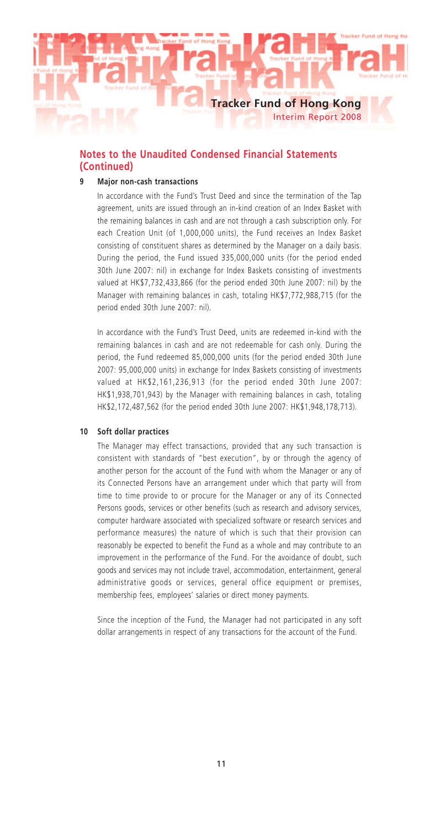

# **Notes to the Unaudited Condensed Financial Statements (Continued)**

# **9 Major non-cash transactions**

In accordance with the Fund's Trust Deed and since the termination of the Tap agreement, units are issued through an in-kind creation of an Index Basket with the remaining balances in cash and are not through a cash subscription only. For each Creation Unit (of 1,000,000 units), the Fund receives an Index Basket consisting of constituent shares as determined by the Manager on a daily basis. During the period, the Fund issued 335,000,000 units (for the period ended 30th June 2007: nil) in exchange for Index Baskets consisting of investments valued at HK\$7,732,433,866 (for the period ended 30th June 2007: nil) by the Manager with remaining balances in cash, totaling HK\$7,772,988,715 (for the period ended 30th June 2007: nil).

In accordance with the Fund's Trust Deed, units are redeemed in-kind with the remaining balances in cash and are not redeemable for cash only. During the period, the Fund redeemed 85,000,000 units (for the period ended 30th June 2007: 95,000,000 units) in exchange for Index Baskets consisting of investments valued at HK\$2,161,236,913 (for the period ended 30th June 2007: HK\$1,938,701,943) by the Manager with remaining balances in cash, totaling HK\$2,172,487,562 (for the period ended 30th June 2007: HK\$1,948,178,713).

#### **10 Soft dollar practices**

The Manager may effect transactions, provided that any such transaction is consistent with standards of "best execution", by or through the agency of another person for the account of the Fund with whom the Manager or any of its Connected Persons have an arrangement under which that party will from time to time provide to or procure for the Manager or any of its Connected Persons goods, services or other benefits (such as research and advisory services, computer hardware associated with specialized software or research services and performance measures) the nature of which is such that their provision can reasonably be expected to benefit the Fund as a whole and may contribute to an improvement in the performance of the Fund. For the avoidance of doubt, such goods and services may not include travel, accommodation, entertainment, general administrative goods or services, general office equipment or premises, membership fees, employees' salaries or direct money payments.

Since the inception of the Fund, the Manager had not participated in any soft dollar arrangements in respect of any transactions for the account of the Fund.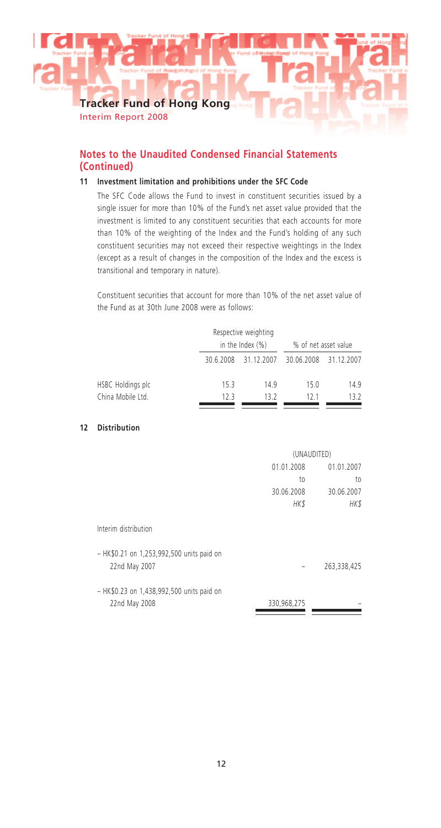Interim Report 2008

# **Notes to the Unaudited Condensed Financial Statements (Continued)**

# **11 Investment limitation and prohibitions under the SFC Code**

The SFC Code allows the Fund to invest in constituent securities issued by a single issuer for more than 10% of the Fund's net asset value provided that the investment is limited to any constituent securities that each accounts for more than 10% of the weighting of the Index and the Fund's holding of any such constituent securities may not exceed their respective weightings in the Index (except as a result of changes in the composition of the Index and the excess is transitional and temporary in nature).

Constituent securities that account for more than 10% of the net asset value of the Fund as at 30th June 2008 were as follows:

|                   |           | Respective weighting<br>in the Index $(\%)$ | % of net asset value |            |
|-------------------|-----------|---------------------------------------------|----------------------|------------|
|                   | 30.6.2008 | 31.12.2007                                  | 30.06.2008           | 31.12.2007 |
| HSBC Holdings plc | 15.3      | 149                                         | 15.0                 | 14.9       |
| China Mobile Ltd. | 123       | 13 2                                        | 121                  | 13.2       |

#### **12 Distribution**

|                                                            | (UNAUDITED) |             |  |
|------------------------------------------------------------|-------------|-------------|--|
|                                                            | 01.01.2008  | 01.01.2007  |  |
|                                                            | to          | to          |  |
|                                                            | 30.06.2008  | 30.06.2007  |  |
|                                                            | HK\$        | HK\$        |  |
| Interim distribution                                       |             |             |  |
| - HK\$0.21 on 1,253,992,500 units paid on<br>22nd May 2007 |             | 263,338,425 |  |
| - HK\$0.23 on 1,438,992,500 units paid on<br>22nd May 2008 | 330,968,275 |             |  |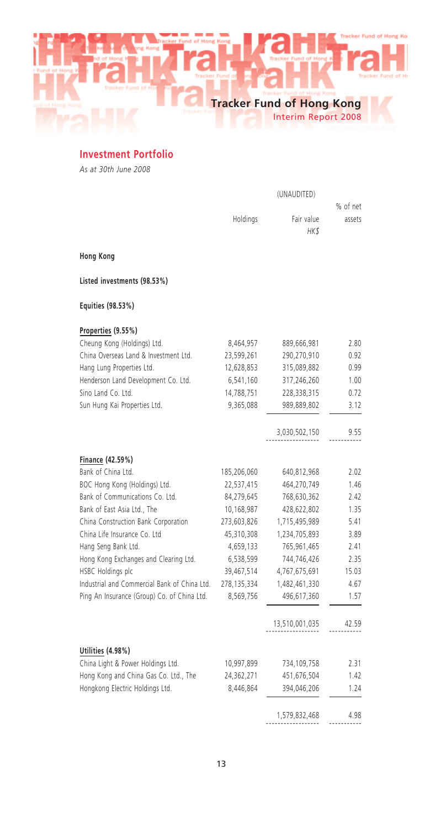**Tracker Fund of Hong Kong** Interim Report 2008

**Investment Portfolio**

*As at 30th June 2008*

|                                              |             | (UNAUDITED)         |          |
|----------------------------------------------|-------------|---------------------|----------|
|                                              |             |                     | % of net |
|                                              | Holdings    | Fair value<br>HK \$ | assets   |
| Hong Kong                                    |             |                     |          |
| Listed investments (98.53%)                  |             |                     |          |
| Equities (98.53%)                            |             |                     |          |
| Properties (9.55%)                           |             |                     |          |
| Cheung Kong (Holdings) Ltd.                  | 8,464,957   | 889,666,981         | 2.80     |
| China Overseas Land & Investment Ltd.        | 23,599,261  | 290,270,910         | 0.92     |
| Hang Lung Properties Ltd.                    | 12,628,853  | 315,089,882         | 0.99     |
| Henderson Land Development Co. Ltd.          | 6,541,160   | 317,246,260         | 1.00     |
| Sino Land Co. Ltd.                           | 14,788,751  | 228,338,315         | 0.72     |
| Sun Hung Kai Properties Ltd.                 | 9,365,088   | 989,889,802         | 3.12     |
|                                              |             |                     |          |
|                                              |             | 3,030,502,150       | 9.55     |
| Finance (42.59%)                             |             |                     |          |
| Bank of China Ltd.                           | 185,206,060 | 640,812,968         | 2.02     |
| BOC Hong Kong (Holdings) Ltd.                | 22,537,415  | 464,270,749         | 1.46     |
| Bank of Communications Co. Ltd.              | 84,279,645  | 768,630,362         | 2.42     |
| Bank of East Asia Ltd., The                  | 10,168,987  | 428,622,802         | 1.35     |
| China Construction Bank Corporation          | 273,603,826 | 1,715,495,989       | 5.41     |
| China Life Insurance Co. Ltd                 | 45,310,308  | 1,234,705,893       | 3.89     |
| Hang Seng Bank Ltd.                          | 4,659,133   | 765,961,465         | 2.41     |
| Hong Kong Exchanges and Clearing Ltd.        | 6,538,599   | 744,746,426         | 2.35     |
| HSBC Holdings plc                            | 39,467,514  | 4,767,675,691       | 15.03    |
| Industrial and Commercial Bank of China Ltd. | 278,135,334 | 1,482,461,330       | 4.67     |
| Ping An Insurance (Group) Co. of China Ltd.  | 8,569,756   | 496,617,360         | 1.57     |
|                                              |             |                     |          |
|                                              |             | 13,510,001,035      | 42.59    |
| Utilities (4.98%)                            |             |                     |          |
| China Light & Power Holdings Ltd.            | 10,997,899  | 734,109,758         | 2.31     |
| Hong Kong and China Gas Co. Ltd., The        | 24,362,271  | 451,676,504         | 1.42     |
| Hongkong Electric Holdings Ltd.              | 8,446,864   | 394,046,206         | 1.24     |
|                                              |             |                     |          |
|                                              |             | 1,579,832,468       | 4.98     |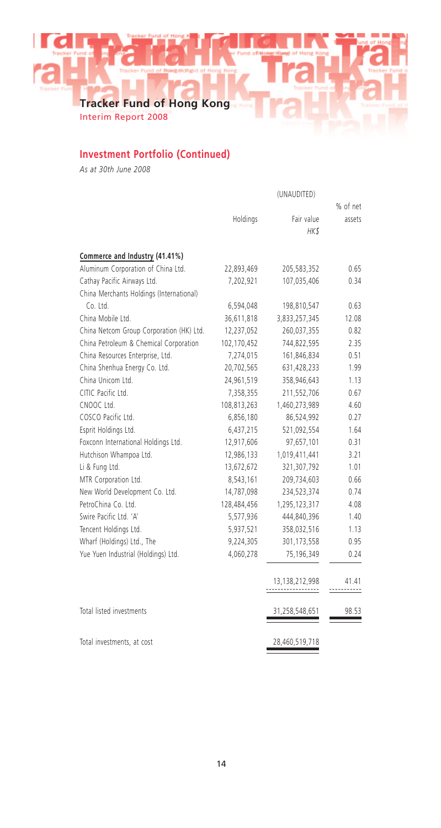Interim Report 2008

# **Investment Portfolio (Continued)**

*As at 30th June 2008*

|                                          |             |                | % of net |
|------------------------------------------|-------------|----------------|----------|
|                                          | Holdings    | Fair value     | assets   |
|                                          |             | HK\$           |          |
| Commerce and Industry (41.41%)           |             |                |          |
| Aluminum Corporation of China Ltd.       | 22,893,469  | 205,583,352    | 0.65     |
| Cathay Pacific Airways Ltd.              | 7,202,921   | 107,035,406    | 0.34     |
| China Merchants Holdings (International) |             |                |          |
| Co. Ltd.                                 | 6,594,048   | 198,810,547    | 0.63     |
| China Mobile Ltd.                        | 36,611,818  | 3,833,257,345  | 12.08    |
| China Netcom Group Corporation (HK) Ltd. | 12,237,052  | 260,037,355    | 0.82     |
| China Petroleum & Chemical Corporation   | 102,170,452 | 744,822,595    | 2.35     |
| China Resources Enterprise, Ltd.         | 7,274,015   | 161,846,834    | 0.51     |
| China Shenhua Energy Co. Ltd.            | 20,702,565  | 631,428,233    | 1.99     |
| China Unicom Ltd.                        | 24,961,519  | 358,946,643    | 1.13     |
| CITIC Pacific Ltd.                       | 7,358,355   | 211,552,706    | 0.67     |
| CNOOC Ltd.                               | 108,813,263 | 1,460,273,989  | 4.60     |
| COSCO Pacific Ltd.                       | 6,856,180   | 86,524,992     | 0.27     |
| Esprit Holdings Ltd.                     | 6,437,215   | 521,092,554    | 1.64     |
| Foxconn International Holdings Ltd.      | 12,917,606  | 97,657,101     | 0.31     |
| Hutchison Whampoa Ltd.                   | 12,986,133  | 1,019,411,441  | 3.21     |
| Li & Fung Ltd.                           | 13,672,672  | 321,307,792    | 1.01     |
| MTR Corporation Ltd.                     | 8,543,161   | 209,734,603    | 0.66     |
| New World Development Co. Ltd.           | 14,787,098  | 234,523,374    | 0.74     |
| PetroChina Co. Ltd.                      | 128,484,456 | 1,295,123,317  | 4.08     |
| Swire Pacific Ltd. 'A'                   | 5,577,936   | 444,840,396    | 1.40     |
| Tencent Holdings Ltd.                    | 5,937,521   | 358,032,516    | 1.13     |
| Wharf (Holdings) Ltd., The               | 9,224,305   | 301,173,558    | 0.95     |
| Yue Yuen Industrial (Holdings) Ltd.      | 4,060,278   | 75,196,349     | 0.24     |
|                                          |             | 13,138,212,998 | 41.41    |
|                                          |             |                |          |
| Total listed investments                 |             | 31,258,548,651 | 98.53    |
| Total investments, at cost               |             | 28,460,519,718 |          |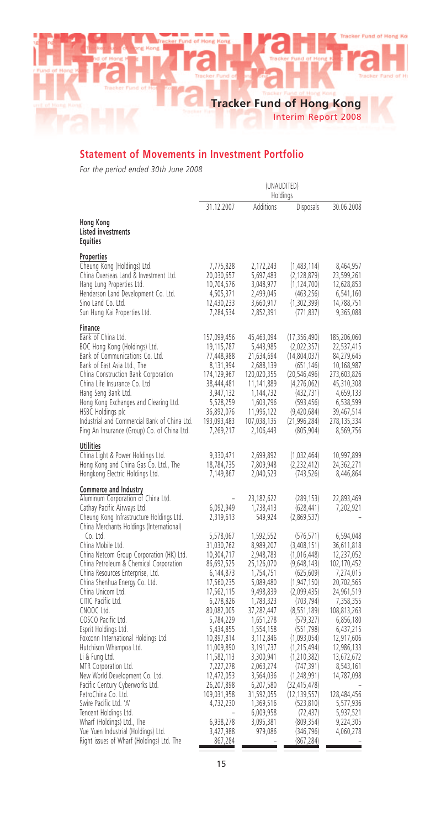Interim Report 2008

# **Statement of Movements in Investment Portfolio**

*For the period ended 30th June 2008*

|                                                                                                                                                                                                                                                                                                                                                                                                                                                                                                                                                                                                                                | (UNAUDITED)<br>Holdings                                                                                                                                                                                                                                                                    |                                                                                                                                                                                                                                                                                             |                                                                                                                                                                                                                                                                                                                                             |                                                                                                                                                                                                                                                                                             |
|--------------------------------------------------------------------------------------------------------------------------------------------------------------------------------------------------------------------------------------------------------------------------------------------------------------------------------------------------------------------------------------------------------------------------------------------------------------------------------------------------------------------------------------------------------------------------------------------------------------------------------|--------------------------------------------------------------------------------------------------------------------------------------------------------------------------------------------------------------------------------------------------------------------------------------------|---------------------------------------------------------------------------------------------------------------------------------------------------------------------------------------------------------------------------------------------------------------------------------------------|---------------------------------------------------------------------------------------------------------------------------------------------------------------------------------------------------------------------------------------------------------------------------------------------------------------------------------------------|---------------------------------------------------------------------------------------------------------------------------------------------------------------------------------------------------------------------------------------------------------------------------------------------|
|                                                                                                                                                                                                                                                                                                                                                                                                                                                                                                                                                                                                                                | 31.12.2007                                                                                                                                                                                                                                                                                 | Additions                                                                                                                                                                                                                                                                                   | Disposals                                                                                                                                                                                                                                                                                                                                   | 30.06.2008                                                                                                                                                                                                                                                                                  |
| Hong Kong<br>Listed investments<br>Equities                                                                                                                                                                                                                                                                                                                                                                                                                                                                                                                                                                                    |                                                                                                                                                                                                                                                                                            |                                                                                                                                                                                                                                                                                             |                                                                                                                                                                                                                                                                                                                                             |                                                                                                                                                                                                                                                                                             |
| Properties<br>Cheung Kong (Holdings) Ltd.<br>China Overseas Land & Investment Ltd.<br>Hang Lung Properties Ltd.<br>Henderson Land Development Co. Ltd.<br>Sino Land Co. Ltd.<br>Sun Hung Kai Properties Ltd.                                                                                                                                                                                                                                                                                                                                                                                                                   | 7,775,828<br>20,030,657<br>10,704,576<br>4,505,371<br>12,430,233<br>7,284,534                                                                                                                                                                                                              | 2,172,243<br>5,697,483<br>3,048,977<br>2,499,045<br>3,660,917<br>2,852,391                                                                                                                                                                                                                  | (1,483,114)<br>(2, 128, 879)<br>(1, 124, 700)<br>(463, 256)<br>(1,302,399)<br>(771, 837)                                                                                                                                                                                                                                                    | 8,464,957<br>23,599,261<br>12,628,853<br>6,541,160<br>14,788,751<br>9,365,088                                                                                                                                                                                                               |
| Finance<br>Bank of China Ltd.<br>BOC Hong Kong (Holdings) Ltd.<br>Bank of Communications Co. Ltd.<br>Bank of East Asia Ltd., The<br>China Construction Bank Corporation<br>China Life Insurance Co. Ltd<br>Hang Seng Bank Ltd.<br>Hong Kong Exchanges and Clearing Ltd.<br>HSBC Holdings plc<br>Industrial and Commercial Bank of China Ltd.<br>Ping An Insurance (Group) Co. of China Ltd.                                                                                                                                                                                                                                    | 157,099,456<br>19,115,787<br>77,448,988<br>8,131,994<br>174,129,967<br>38,444,481<br>3,947,132<br>5,528,259<br>36,892,076<br>193,093,483<br>7,269,217                                                                                                                                      | 45,463,094<br>5,443,985<br>21,634,694<br>2,688,139<br>120,020,355<br>11,141,889<br>1,144,732<br>1,603,796<br>11,996,122<br>107,038,135<br>2,106,443                                                                                                                                         | (17, 356, 490)<br>(2,022,357)<br>(14,804,037)<br>(651, 146)<br>(20, 546, 496)<br>(4,276,062)<br>(432, 731)<br>(593, 456)<br>(9,420,684)<br>(21, 996, 284)<br>(805, 904)                                                                                                                                                                     | 185,206,060<br>22,537,415<br>84,279,645<br>10,168,987<br>273,603,826<br>45,310,308<br>4,659,133<br>6,538,599<br>39,467,514<br>278,135,334<br>8,569,756                                                                                                                                      |
| <b>Utilities</b><br>China Light & Power Holdings Ltd.<br>Hong Kong and China Gas Co. Ltd., The<br>Hongkong Electric Holdings Ltd.                                                                                                                                                                                                                                                                                                                                                                                                                                                                                              | 9,330,471<br>18,784,735<br>7,149,867                                                                                                                                                                                                                                                       | 2,699,892<br>7,809,948<br>2,040,523                                                                                                                                                                                                                                                         | (1,032,464)<br>(2,232,412)<br>(743, 526)                                                                                                                                                                                                                                                                                                    | 10,997,899<br>24,362,271<br>8,446,864                                                                                                                                                                                                                                                       |
| <b>Commerce and Industry</b><br>Aluminum Corporation of China Ltd.<br>Cathay Pacific Airways Ltd.<br>Cheung Kong Infrastructure Holdings Ltd.<br>China Merchants Holdings (International)                                                                                                                                                                                                                                                                                                                                                                                                                                      | 6,092,949<br>2,319,613                                                                                                                                                                                                                                                                     | 23,182,622<br>1,738,413<br>549,924                                                                                                                                                                                                                                                          | (289, 153)<br>(628, 441)<br>(2,869,537)                                                                                                                                                                                                                                                                                                     | 22,893,469<br>7,202,921                                                                                                                                                                                                                                                                     |
| Co. Ltd.<br>China Mobile Ltd.<br>China Netcom Group Corporation (HK) Ltd.<br>China Petroleum & Chemical Corporation<br>China Resources Enterprise, Ltd.<br>China Shenhua Energy Co. Ltd.<br>China Unicom Ltd.<br>CITIC Pacific Ltd.<br>CNOOC Ltd.<br>COSCO Pacific Ltd.<br>Esprit Holdings Ltd.<br>Foxconn International Holdings Ltd.<br>Hutchison Whampoa Ltd.<br>Li & Fung Ltd.<br>MTR Corporation Ltd.<br>New World Development Co. Ltd.<br>Pacific Century Cyberworks Ltd.<br>PetroChina Co. Ltd.<br>Swire Pacific Ltd. 'A'<br>Tencent Holdings Ltd.<br>Wharf (Holdings) Ltd., The<br>Yue Yuen Industrial (Holdings) Ltd. | 5,578,067<br>31,030,762<br>10,304,717<br>86,692,525<br>6,144,873<br>17,560,235<br>17,562,115<br>6,278,826<br>80,082,005<br>5,784,229<br>5,434,855<br>10,897,814<br>11,009,890<br>11,582,113<br>7,227,278<br>12,472,053<br>26,207,898<br>109,031,958<br>4,732,230<br>6,938,278<br>3,427,988 | 1,592,552<br>8,989,207<br>2,948,783<br>25,126,070<br>1,754,751<br>5,089,480<br>9,498,839<br>1,783,323<br>37,282,447<br>1,651,278<br>1,554,158<br>3,112,846<br>3,191,737<br>3,300,941<br>2,063,274<br>3,564,036<br>6,207,580<br>31,592,055<br>1,369,516<br>6,009,958<br>3,095,381<br>979,086 | (576, 571)<br>(3,408,151)<br>(1,016,448)<br>(9,648,143)<br>(625, 609)<br>(1, 947, 150)<br>(2,099,435)<br>(703, 794)<br>(8, 551, 189)<br>(579, 327)<br>(551, 798)<br>(1,093,054)<br>(1, 215, 494)<br>(1, 210, 382)<br>(747, 391)<br>(1, 248, 991)<br>(32, 415, 478)<br>(12, 139, 557)<br>(523, 810)<br>(72, 437)<br>(809, 354)<br>(346, 796) | 6,594,048<br>36,611,818<br>12,237,052<br>102,170,452<br>7,274,015<br>20,702,565<br>24,961,519<br>7,358,355<br>108,813,263<br>6,856,180<br>6,437,215<br>12,917,606<br>12,986,133<br>13,672,672<br>8,543,161<br>14,787,098<br>128,484,456<br>5,577,936<br>5,937,521<br>9,224,305<br>4,060,278 |
| Right issues of Wharf (Holdings) Ltd. The                                                                                                                                                                                                                                                                                                                                                                                                                                                                                                                                                                                      | 867,284                                                                                                                                                                                                                                                                                    |                                                                                                                                                                                                                                                                                             | (867, 284)                                                                                                                                                                                                                                                                                                                                  |                                                                                                                                                                                                                                                                                             |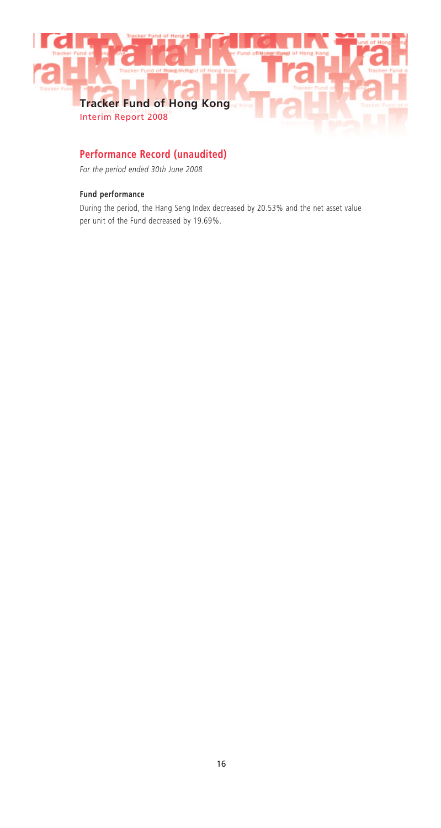

# **Performance Record (unaudited)**

*For the period ended 30th June 2008*

# **Fund performance**

During the period, the Hang Seng Index decreased by 20.53% and the net asset value per unit of the Fund decreased by 19.69%.